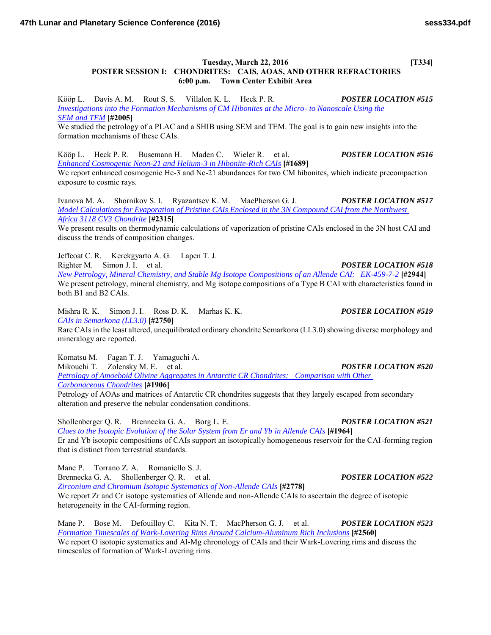## **Tuesday, March 22, 2016** [T334] **POSTER SESSION I: CHONDRITES: CAIS, AOAS, AND OTHER REFRACTORIES 6:00 p.m. Town Center Exhibit Area**

Kööp L. Davis A. M. Rout S. S. Villalon K. L. Heck P. R. *POSTER LOCATION #515 [Investigations into the Formation Mechanisms of CM Hibonites at the Micro- to Nanoscale Using the](http://www.hou.usra.edu/meetings/lpsc2016/pdf/2005.pdf)  [SEM and TEM](http://www.hou.usra.edu/meetings/lpsc2016/pdf/2005.pdf)* **[#2005]**

We studied the petrology of a PLAC and a SHIB using SEM and TEM. The goal is to gain new insights into the formation mechanisms of these CAIs.

Kööp L. Heck P. R. Busemann H. Maden C. Wieler R. et al. *POSTER LOCATION #516 [Enhanced Cosmogenic Neon-21 and Helium-3 in Hibonite-Rich CAIs](http://www.hou.usra.edu/meetings/lpsc2016/pdf/1689.pdf)* **[#1689]** We report enhanced cosmogenic He-3 and Ne-21 abundances for two CM hibonites, which indicate precompaction exposure to cosmic rays.

Ivanova M. A. Shornikov S. I. Ryazantsev K. M. MacPherson G. J. *POSTER LOCATION #517 [Model Calculations for Evaporation of Pristine CAIs Enclosed in the 3N Compound CAI from the Northwest](http://www.hou.usra.edu/meetings/lpsc2016/pdf/2315.pdf)  [Africa 3118 CV3 Chondrite](http://www.hou.usra.edu/meetings/lpsc2016/pdf/2315.pdf)* **[#2315]**

We present results on thermodynamic calculations of vaporization of pristine CAIs enclosed in the 3N host CAI and discuss the trends of composition changes.

Jeffcoat C. R. Kerekgyarto A. G. Lapen T. J. Righter M. Simon J. I. et al. *POSTER LOCATION #518 [New Petrology, Mineral Chemistry, and Stable Mg Isotope Compositions of an Allende CAI: EK-459-7-2](http://www.hou.usra.edu/meetings/lpsc2016/pdf/2944.pdf)* **[#2944]** We present petrology, mineral chemistry, and Mg isotope compositions of a Type B CAI with characteristics found in both B1 and B2 CAIs.

Mishra R. K. Simon J. I. Ross D. K. Marhas K. K. *POSTER LOCATION #519 [CAIs in Semarkona \(LL3.0\)](http://www.hou.usra.edu/meetings/lpsc2016/pdf/2750.pdf)* **[#2750]** Rare CAIs in the least altered, unequilibrated ordinary chondrite Semarkona (LL3.0) showing diverse morphology and mineralogy are reported.

Komatsu M. Fagan T. J. Yamaguchi A. Mikouchi T. Zolensky M. E. et al. *POSTER LOCATION #520 [Petrology of Amoeboid Olivine Aggregates in Antarctic CR Chondrites: Comparison with Other](http://www.hou.usra.edu/meetings/lpsc2016/pdf/1906.pdf)  [Carbonaceous Chondrites](http://www.hou.usra.edu/meetings/lpsc2016/pdf/1906.pdf)* **[#1906]** Petrology of AOAs and matrices of Antarctic CR chondrites suggests that they largely escaped from secondary

alteration and preserve the nebular condensation conditions.

Shollenberger Q. R. Brennecka G. A. Borg L. E. *POSTER LOCATION #521 [Clues to the Isotopic Evolution of the Solar System from Er and Yb in Allende CAIs](http://www.hou.usra.edu/meetings/lpsc2016/pdf/1964.pdf)* **[#1964]** Er and Yb isotopic compositions of CAIs support an isotopically homogeneous reservoir for the CAI-forming region that is distinct from terrestrial standards.

Mane P. Torrano Z. A. Romaniello S. J. Brennecka G. A. Shollenberger Q. R. et al. *POSTER LOCATION #522 [Zirconium and Chromium Isotopic Systematics of Non-Allende CAIs](http://www.hou.usra.edu/meetings/lpsc2016/pdf/2778.pdf)* **[#2778]** We report Zr and Cr isotope systematics of Allende and non-Allende CAIs to ascertain the degree of isotopic heterogeneity in the CAI-forming region.

Mane P. Bose M. Defouilloy C. Kita N. T. MacPherson G. J. et al. *POSTER LOCATION #523 [Formation Timescales of Wark-Lovering Rims Around Calcium-Aluminum Rich Inclusions](http://www.hou.usra.edu/meetings/lpsc2016/pdf/2560.pdf)* **[#2560]** We report O isotopic systematics and Al-Mg chronology of CAIs and their Wark-Lovering rims and discuss the timescales of formation of Wark-Lovering rims.